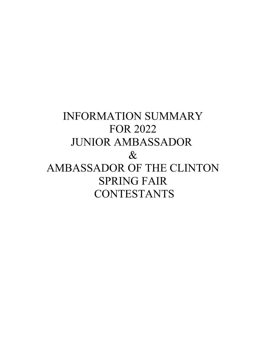# INFORMATION SUMMARY FOR 2022 JUNIOR AMBASSADOR  $\&$ AMBASSADOR OF THE CLINTON SPRING FAIR **CONTESTANTS**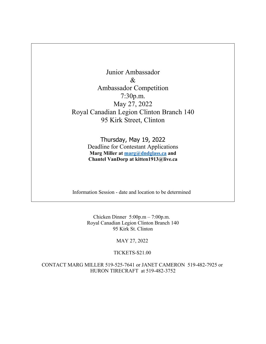Junior Ambassador  $\mathcal{R}_{\mathcal{L}}$ Ambassador Competition 7:30p.m. May 27, 2022 Royal Canadian Legion Clinton Branch 140 95 Kirk Street, Clinton

> Thursday, May 19, 2022 Deadline for Contestant Applications **Marg Miller at [marg@dndglass.ca](mailto:marg@dndglass.ca) and Chantel VanDorp at kitten1913@live.ca**

Information Session - date and location to be determined

Chicken Dinner 5:00p.m – 7:00p.m. Royal Canadian Legion Clinton Branch 140 95 Kirk St. Clinton

MAY 27, 2022

TICKETS-\$21.00

CONTACT MARG MILLER 519-525-7641 or JANET CAMERON 519-482-7925 or HURON TIRECRAFT at 519-482-3752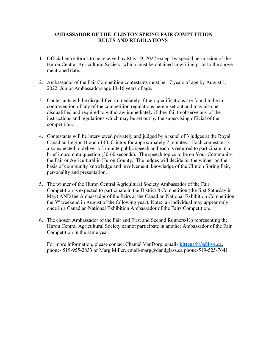## **AMBASSADOR OF THE CLINTON SPRING FAIR COMPETITION RULES AND REGULATIONS**

- 1. Official entry forms to be received by May 19, 2022 except by special permission of the Huron Central Agricultural Society, which must be obtained in writing prior to the above mentioned date.
- 2. Ambassador of the Fair Competition contestants must be 17 years of age by August 1, 2022. Junior Ambassadors age 13-16 years of age.
- 3. Contestants will be disqualified immediately if their qualifications are found to be in contravention of any of the competition regulations herein set out and may also be disqualified and required to withdraw immediately if they fail to observe any of the instructions and regulations which may be set out by the supervising official of the competition.
- 4. Contestants will be interviewed privately and judged by a panel of 3 judges at the Royal Canadian Legion Branch 140, Clinton for approximately 7 minutes. Each contestant is also expected to deliver a 3 minute public speech and each is required to participate in a brief impromptu question (30-60 seconds). The speech topics to be on Your Community, the Fair or Agricultural in Huron County. The judges will decide on the winner on the basis of community knowledge and involvement, knowledge of the Clinton Spring Fair, personality and presentation.
- 5. The winner of the Huron Central Agricultural Society Ambassador of the Fair Competition is expected to participate in the District 8 Competition (the first Saturday in May) AND the Ambassador of the Fairs at the Canadian National Exhibition Competition the  $3<sup>rd</sup>$  weekend in August of the following year). Note: an individual may appear only once in a Canadian National Exhibition Ambassador of the Fairs Competition.
- 6. The chosen Ambassador of the Fair and First and Second Runners-Up representing the Huron Central Agricultural Society cannot participate in another Ambassador of the Fair Competition in the same year.

For more information, please contact Chantel VanDorp, email- **[kitten1913@live.ca](mailto:kitten1913@live.ca)**, phone- 519-955-2833 or Marg Miller, email-marg@dandglass.ca phone-519-525-7641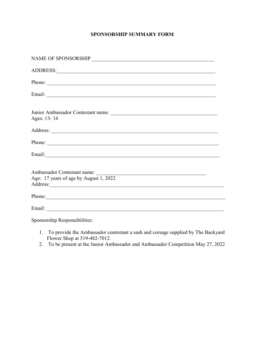# **SPONSORSHIP SUMMARY FORM**

| Phone:                                                                                                                                                                                                                         |
|--------------------------------------------------------------------------------------------------------------------------------------------------------------------------------------------------------------------------------|
|                                                                                                                                                                                                                                |
| Ages: 13-16                                                                                                                                                                                                                    |
|                                                                                                                                                                                                                                |
| Phone:                                                                                                                                                                                                                         |
| Email: Note of the contract of the contract of the contract of the contract of the contract of the contract of the contract of the contract of the contract of the contract of the contract of the contract of the contract of |
| Age: 17 years of age by August 1, 2022                                                                                                                                                                                         |
| Phone:                                                                                                                                                                                                                         |
|                                                                                                                                                                                                                                |

Sponsorship Responsibilities:

- 1. To provide the Ambassador contestant a sash and corsage supplied by The Backyard Flower Shop at 519-482-7012.
- 2. To be present at the Junior Ambassador and Ambassador Competition May 27, 2022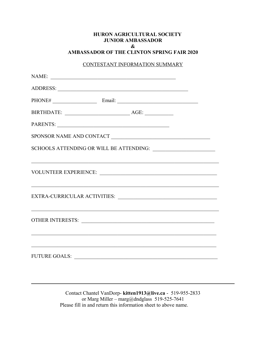#### **HURON AGRICULTURAL SOCIETY JUNIOR AMBASSADOR & AMBASSADOR OF THE CLINTON SPRING FAIR 2020**

#### CONTESTANT INFORMATION SUMMARY

| SPONSOR NAME AND CONTACT                                                                                                                                                                                                      |
|-------------------------------------------------------------------------------------------------------------------------------------------------------------------------------------------------------------------------------|
|                                                                                                                                                                                                                               |
| ,我们也不能在这里的时候,我们也不能在这里的时候,我们也不能会在这里的时候,我们也不能会在这里的时候,我们也不能会在这里的时候,我们也不能会在这里的时候,我们也                                                                                                                                              |
|                                                                                                                                                                                                                               |
| OTHER INTERESTS: New York CONSTRUCTION OF THE CONSTRUCTION OF THE CONSTRUCTION OF THE CONSTRUCTION OF THE CONSTRUCTION OF THE CONSTRUCTION OF THE CONSTRUCTION OF THE CONSTRUCTION OF THE CONSTRUCTION OF THE CONSTRUCTION OF |
|                                                                                                                                                                                                                               |
|                                                                                                                                                                                                                               |

Contact Chantel VanDorp- **kitten1913@live.ca** - 519-955-2833 or Marg Miller – marg@dndglass 519-525-7641 Please fill in and return this information sheet to above name.